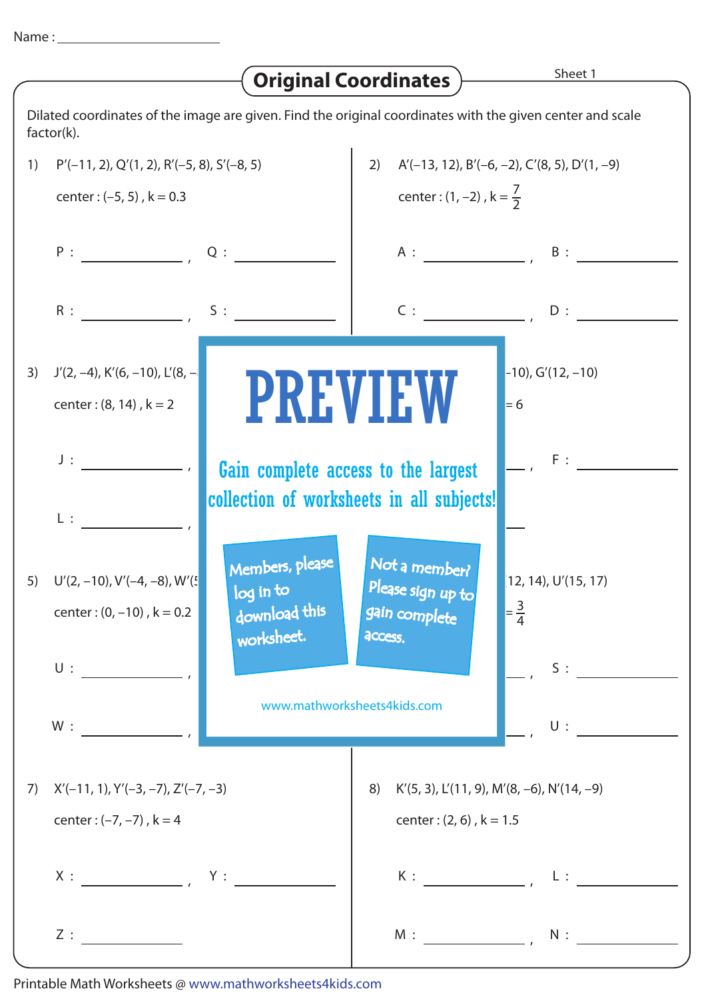## Name :

|                                                                                                                         |                                                                                                                                                     | <b>Original Coordinates</b>                                                            | Sheet 1                                               |  |
|-------------------------------------------------------------------------------------------------------------------------|-----------------------------------------------------------------------------------------------------------------------------------------------------|----------------------------------------------------------------------------------------|-------------------------------------------------------|--|
| Dilated coordinates of the image are given. Find the original coordinates with the given center and scale<br>factor(k). |                                                                                                                                                     |                                                                                        |                                                       |  |
| 1)                                                                                                                      | $P'(-11, 2), Q'(1, 2), R'(-5, 8), S'(-8, 5)$                                                                                                        | $A'(-13, 12)$ , $B'(-6, -2)$ , $C'(8, 5)$ , $D'(1, -9)$<br>2)                          |                                                       |  |
|                                                                                                                         | center: $(-5, 5)$ , $k = 0.3$                                                                                                                       |                                                                                        | center : $(1, -2)$ , $k = \frac{7}{2}$                |  |
|                                                                                                                         |                                                                                                                                                     |                                                                                        | $A:$ $B:$ $B:$ $A:$                                   |  |
|                                                                                                                         | $R:$ $S:$                                                                                                                                           | C:                                                                                     | D:                                                    |  |
| 3)                                                                                                                      | $J'(2, -4)$ , K'(6, -10), L'(8, -<br>center: $(8, 14)$ , $k = 2$                                                                                    | <b>PREVIEW</b>                                                                         | $-10$ , G'(12, $-10$ )<br>$= 6$                       |  |
|                                                                                                                         | $J$ :<br>$L:$ $\longrightarrow$                                                                                                                     | F:<br>Gain complete access to the largest<br>collection of worksheets in all subjects! |                                                       |  |
|                                                                                                                         | Members, please<br>5) $U'(2, -10)$ , $V'(-4, -8)$ , $W'(\frac{1}{2})$<br>log in to<br>download this<br>center: $(0, -10)$ , $k = 0.2$<br>worksheet. | Not a member?<br>Please sign up to<br>gain complete<br>access,                         | $(12, 14)$ , U' $(15, 17)$<br>$=\frac{3}{4}$          |  |
|                                                                                                                         | $\mathsf{U}$ :                                                                                                                                      | S:<br>www.mathworksheets4kids.com                                                      |                                                       |  |
|                                                                                                                         | W:                                                                                                                                                  |                                                                                        | U:                                                    |  |
| 7)                                                                                                                      | $X'(-11, 1), Y'(-3, -7), Z'(-7, -3)$                                                                                                                | 8)                                                                                     | $K'(5, 3)$ , $L'(11, 9)$ , $M'(8, -6)$ , $N'(14, -9)$ |  |
|                                                                                                                         | center: $(-7, -7)$ , $k = 4$                                                                                                                        |                                                                                        | center: $(2, 6)$ , $k = 1.5$                          |  |
|                                                                                                                         |                                                                                                                                                     | K:                                                                                     | $L:$ $\qquad \qquad$                                  |  |
|                                                                                                                         | Z:                                                                                                                                                  | M:                                                                                     | $\mathsf{N}:\underbrace{\hspace{2.5cm}}$              |  |

Printable Math Worksheets @ www.mathworksheets4kids.com